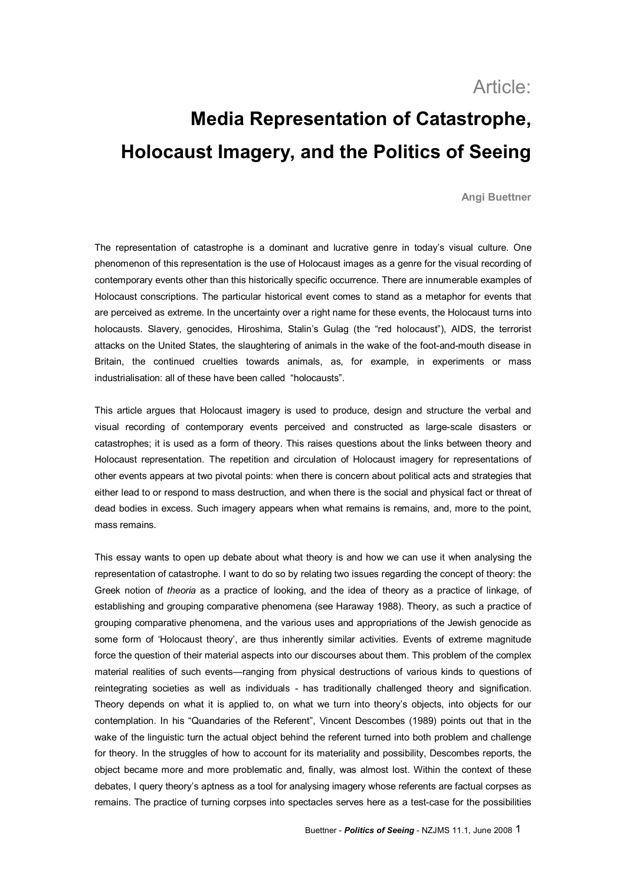# Article:

# **Media Representation of Catastrophe, Holocaust Imagery, and the Politics of Seeing**

**Angi Buettner**

The representation of catastrophe is a dominant and lucrative genre in today's visual culture. One phenomenon of this representation is the use of Holocaust images as a genre for the visual recording of contemporary events other than this historically specific occurrence. There are innumerable examples of Holocaust conscriptions. The particular historical event comes to stand as a metaphor for events that are perceived as extreme. In the uncertainty over a right name for these events, the Holocaust turns into holocausts. Slavery, genocides, Hiroshima, Stalin's Gulag (the "red holocaust"), AIDS, the terrorist attacks on the United States, the slaughtering of animals in the wake of the foot-and-mouth disease in Britain, the continued cruelties towards animals, as, for example, in experiments or mass industrialisation: all of these have been called "holocausts".

This article argues that Holocaust imagery is used to produce, design and structure the verbal and visual recording of contemporary events perceived and constructed as large-scale disasters or catastrophes; it is used as a form of theory. This raises questions about the links between theory and Holocaust representation. The repetition and circulation of Holocaust imagery for representations of other events appears at two pivotal points: when there is concern about political acts and strategies that either lead to or respond to mass destruction, and when there is the social and physical fact or threat of dead bodies in excess. Such imagery appears when what remains is remains, and, more to the point, mass remains.

This essay wants to open up debate about what theory is and how we can use it when analysing the representation of catastrophe. I want to do so by relating two issues regarding the concept of theory: the Greek notion of *theoria* as a practice of looking, and the idea of theory as a practice of linkage, of establishing and grouping comparative phenomena (see Haraway 1988). Theory, as such a practice of grouping comparative phenomena, and the various uses and appropriations of the Jewish genocide as some form of 'Holocaust theory', are thus inherently similar activities. Events of extreme magnitude force the question of their material aspects into our discourses about them. This problem of the complex material realities of such events—ranging from physical destructions of various kinds to questions of reintegrating societies as well as individuals - has traditionally challenged theory and signification. Theory depends on what it is applied to, on what we turn into theory's objects, into objects for our contemplation. In his "Quandaries of the Referent", Vincent Descombes (1989) points out that in the wake of the linguistic turn the actual object behind the referent turned into both problem and challenge for theory. In the struggles of how to account for its materiality and possibility, Descombes reports, the object became more and more problematic and, finally, was almost lost. Within the context of these debates, I query theory's aptness as a tool for analysing imagery whose referents are factual corpses as remains. The practice of turning corpses into spectacles serves here as a test-case for the possibilities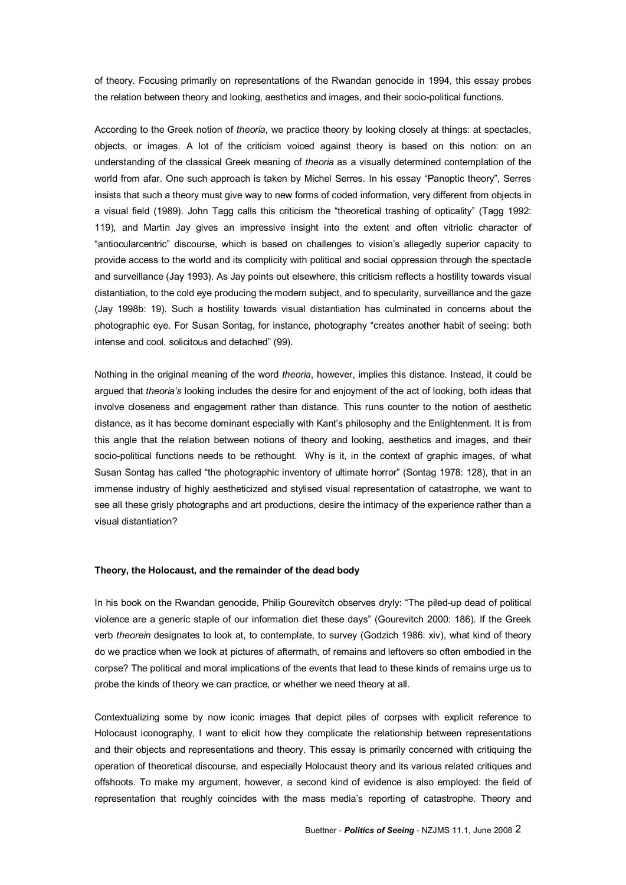of theory. Focusing primarily on representations of the Rwandan genocide in 1994, this essay probes the relation between theory and looking, aesthetics and images, and their socio-political functions.

According to the Greek notion of *theoria*, we practice theory by looking closely at things: at spectacles, objects, or images. A lot of the criticism voiced against theory is based on this notion: on an understanding of the classical Greek meaning of *theoria* as a visually determined contemplation of the world from afar. One such approach is taken by Michel Serres. In his essay "Panoptic theory", Serres insists that such a theory must give way to new forms of coded information, very different from objects in a visual field (1989). John Tagg calls this criticism the "theoretical trashing of opticality" (Tagg 1992: 119), and Martin Jay gives an impressive insight into the extent and often vitriolic character of "antiocularcentric" discourse, which is based on challenges to vision's allegedly superior capacity to provide access to the world and its complicity with political and social oppression through the spectacle and surveillance (Jay 1993). As Jay points out elsewhere, this criticism reflects a hostility towards visual distantiation, to the cold eye producing the modern subject, and to specularity, surveillance and the gaze (Jay 1998b: 19). Such a hostility towards visual distantiation has culminated in concerns about the photographic eye. For Susan Sontag, for instance, photography "creates another habit of seeing: both intense and cool, solicitous and detached" (99).

Nothing in the original meaning of the word *theoria*, however, implies this distance. Instead, it could be argued that *theoria's* looking includes the desire for and enjoyment of the act of looking, both ideas that involve closeness and engagement rather than distance. This runs counter to the notion of aesthetic distance, as it has become dominant especially with Kant's philosophy and the Enlightenment. It is from this angle that the relation between notions of theory and looking, aesthetics and images, and their socio-political functions needs to be rethought. Why is it, in the context of graphic images, of what Susan Sontag has called "the photographic inventory of ultimate horror" (Sontag 1978: 128), that in an immense industry of highly aestheticized and stylised visual representation of catastrophe, we want to see all these grisly photographs and art productions, desire the intimacy of the experience rather than a visual distantiation?

## **Theory, the Holocaust, and the remainder of the dead body**

In his book on the Rwandan genocide, Philip Gourevitch observes dryly: "The piled-up dead of political violence are a generic staple of our information diet these days" (Gourevitch 2000: 186). If the Greek verb *theorein* designates to look at, to contemplate, to survey (Godzich 1986: xiv), what kind of theory do we practice when we look at pictures of aftermath, of remains and leftovers so often embodied in the corpse? The political and moral implications of the events that lead to these kinds of remains urge us to probe the kinds of theory we can practice, or whether we need theory at all.

Contextualizing some by now iconic images that depict piles of corpses with explicit reference to Holocaust iconography, I want to elicit how they complicate the relationship between representations and their objects and representations and theory. This essay is primarily concerned with critiquing the operation of theoretical discourse, and especially Holocaust theory and its various related critiques and offshoots. To make my argument, however, a second kind of evidence is also employed: the field of representation that roughly coincides with the mass media's reporting of catastrophe. Theory and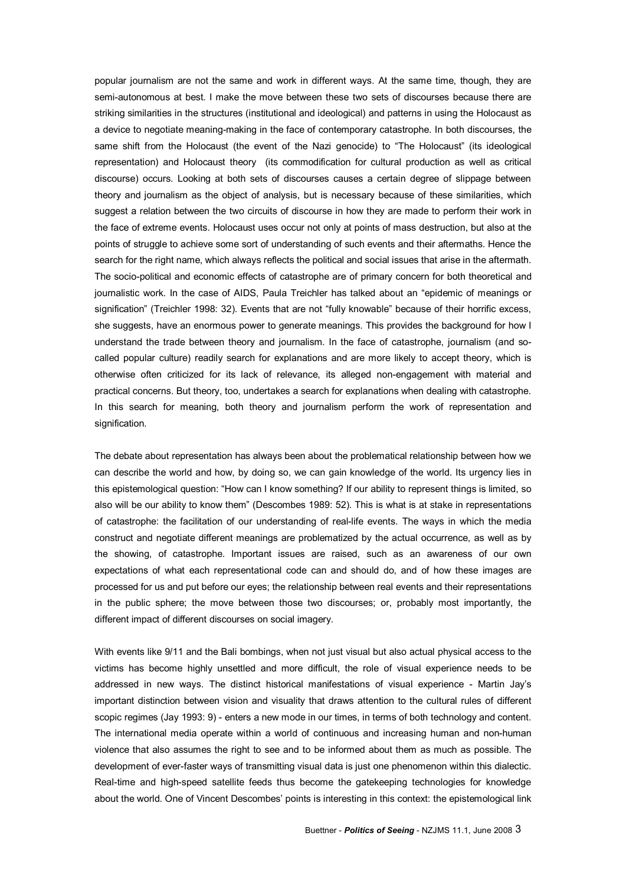popular journalism are not the same and work in different ways. At the same time, though, they are semi-autonomous at best. I make the move between these two sets of discourses because there are striking similarities in the structures (institutional and ideological) and patterns in using the Holocaust as a device to negotiate meaning-making in the face of contemporary catastrophe. In both discourses, the same shift from the Holocaust (the event of the Nazi genocide) to "The Holocaust" (its ideological representation) and Holocaust theory (its commodification for cultural production as well as critical discourse) occurs. Looking at both sets of discourses causes a certain degree of slippage between theory and journalism as the object of analysis, but is necessary because of these similarities, which suggest a relation between the two circuits of discourse in how they are made to perform their work in the face of extreme events. Holocaust uses occur not only at points of mass destruction, but also at the points of struggle to achieve some sort of understanding of such events and their aftermaths. Hence the search for the right name, which always reflects the political and social issues that arise in the aftermath. The socio-political and economic effects of catastrophe are of primary concern for both theoretical and journalistic work. In the case of AIDS, Paula Treichler has talked about an "epidemic of meanings or signification" (Treichler 1998: 32). Events that are not "fully knowable" because of their horrific excess, she suggests, have an enormous power to generate meanings. This provides the background for how I understand the trade between theory and journalism. In the face of catastrophe, journalism (and so called popular culture) readily search for explanations and are more likely to accept theory, which is otherwise often criticized for its lack of relevance, its alleged nonengagement with material and practical concerns. But theory, too, undertakes a search for explanations when dealing with catastrophe. In this search for meaning, both theory and journalism perform the work of representation and signification.

The debate about representation has always been about the problematical relationship between how we can describe the world and how, by doing so, we can gain knowledge of the world. Its urgency lies in this epistemological question: "How can I know something? If our ability to represent things is limited, so also will be our ability to know them" (Descombes 1989: 52). This is what is at stake in representations of catastrophe: the facilitation of our understanding of real-life events. The ways in which the media construct and negotiate different meanings are problematized by the actual occurrence, as well as by the showing, of catastrophe. Important issues are raised, such as an awareness of our own expectations of what each representational code can and should do, and of how these images are processed for us and put before our eyes; the relationship between real events and their representations in the public sphere; the move between those two discourses; or, probably most importantly, the different impact of different discourses on social imagery.

With events like 9/11 and the Bali bombings, when not just visual but also actual physical access to the victims has become highly unsettled and more difficult, the role of visual experience needs to be addressed in new ways. The distinct historical manifestations of visual experience - Martin Jay's important distinction between vision and visuality that draws attention to the cultural rules of different scopic regimes (Jay 1993: 9) - enters a new mode in our times, in terms of both technology and content. The international media operate within a world of continuous and increasing human and non-human violence that also assumes the right to see and to be informed about them as much as possible. The development of ever-faster ways of transmitting visual data is just one phenomenon within this dialectic. Real-time and high-speed satellite feeds thus become the gatekeeping technologies for knowledge about the world. One of Vincent Descombes' points is interesting in this context: the epistemological link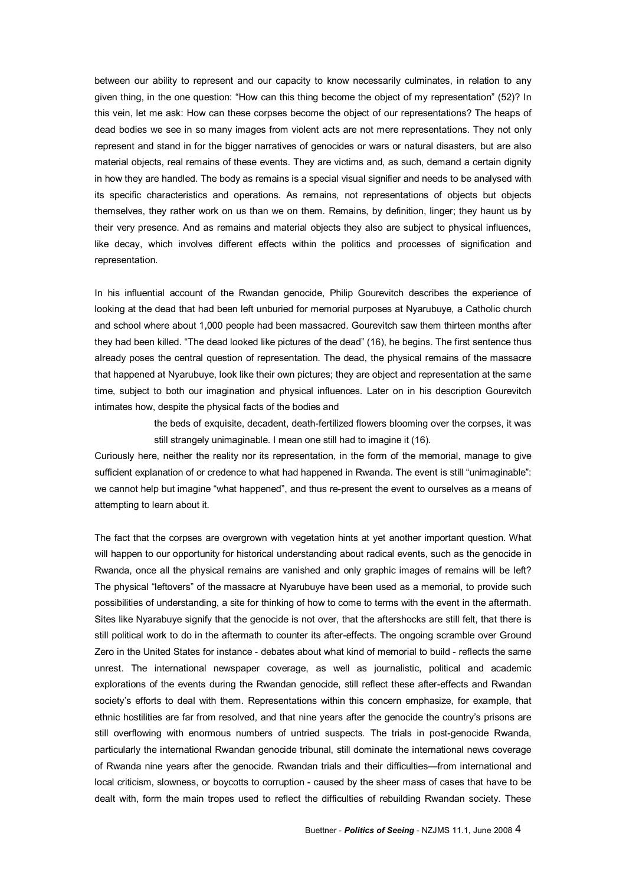between our ability to represent and our capacity to know necessarily culminates, in relation to any given thing, in the one question: "How can this thing become the object of my representation" (52)? In this vein, let me ask: How can these corpses become the object of our representations? The heaps of dead bodies we see in so many images from violent acts are not mere representations. They not only represent and stand in for the bigger narratives of genocides or wars or natural disasters, but are also material objects, real remains of these events. They are victims and, as such, demand a certain dignity in how they are handled. The body as remains is a special visual signifier and needs to be analysed with its specific characteristics and operations. As remains, not representations of objects but objects themselves, they rather work on us than we on them. Remains, by definition, linger; they haunt us by their very presence. And as remains and material objects they also are subject to physical influences, like decay, which involves different effects within the politics and processes of signification and representation.

In his influential account of the Rwandan genocide, Philip Gourevitch describes the experience of looking at the dead that had been left unburied for memorial purposes at Nyarubuye, a Catholic church and school where about 1,000 people had been massacred. Gourevitch saw them thirteen months after they had been killed. "The dead looked like pictures of the dead" (16), he begins. The first sentence thus already poses the central question of representation. The dead, the physical remains of the massacre that happened at Nyarubuye, look like their own pictures; they are object and representation at the same time, subject to both our imagination and physical influences. Later on in his description Gourevitch intimates how, despite the physical facts of the bodies and

> the beds of exquisite, decadent, death-fertilized flowers blooming over the corpses, it was still strangely unimaginable. I mean one still had to imagine it (16).

Curiously here, neither the reality nor its representation, in the form of the memorial, manage to give sufficient explanation of or credence to what had happened in Rwanda. The event is still "unimaginable": we cannot help but imagine "what happened", and thus re-present the event to ourselves as a means of attempting to learn about it.

The fact that the corpses are overgrown with vegetation hints at yet another important question. What will happen to our opportunity for historical understanding about radical events, such as the genocide in Rwanda, once all the physical remains are vanished and only graphic images of remains will be left? The physical "leftovers" of the massacre at Nyarubuye have been used as a memorial, to provide such possibilities of understanding, a site for thinking of how to come to terms with the event in the aftermath. Sites like Nyarabuye signify that the genocide is not over, that the aftershocks are still felt, that there is still political work to do in the aftermath to counter its after-effects. The ongoing scramble over Ground Zero in the United States for instance - debates about what kind of memorial to build - reflects the same unrest. The international newspaper coverage, as well as journalistic, political and academic explorations of the events during the Rwandan genocide, still reflect these aftereffects and Rwandan society's efforts to deal with them. Representations within this concern emphasize, for example, that ethnic hostilities are far from resolved, and that nine years after the genocide the country's prisons are still overflowing with enormous numbers of untried suspects. The trials in post-genocide Rwanda, particularly the international Rwandan genocide tribunal, still dominate the international news coverage of Rwanda nine years after the genocide. Rwandan trials and their difficulties—from international and local criticism, slowness, or boycotts to corruption - caused by the sheer mass of cases that have to be dealt with, form the main tropes used to reflect the difficulties of rebuilding Rwandan society. These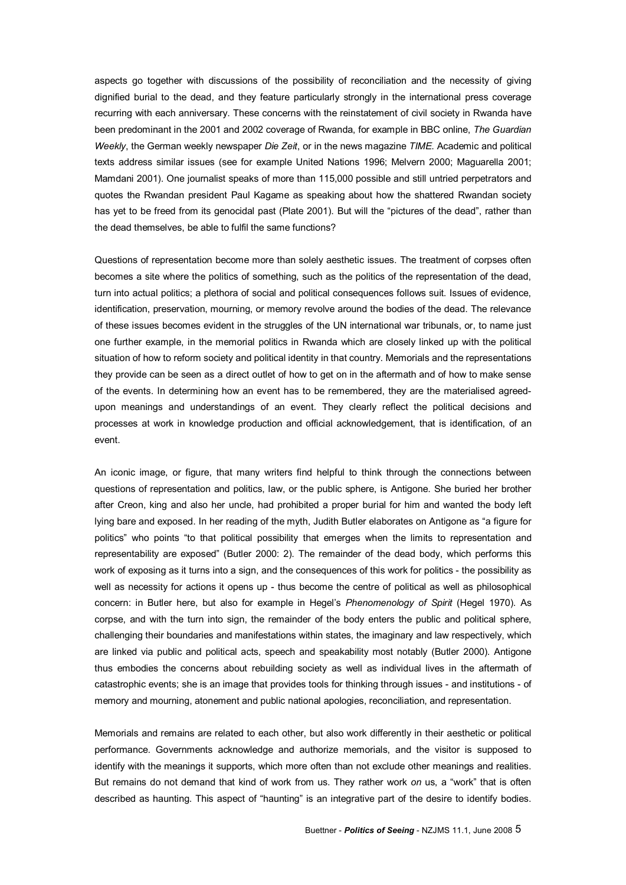aspects go together with discussions of the possibility of reconciliation and the necessity of giving dignified burial to the dead, and they feature particularly strongly in the international press coverage recurring with each anniversary. These concerns with the reinstatement of civil society in Rwanda have been predominant in the 2001 and 2002 coverage of Rwanda, for example in BBC online, *The Guardian Weekly*, the German weekly newspaper *Die Zeit*, or in the news magazine *TIME*. Academic and political texts address similar issues (see for example United Nations 1996; Melvern 2000; Maguarella 2001; Mamdani 2001). One journalist speaks of more than 115,000 possible and still untried perpetrators and quotes the Rwandan president Paul Kagame as speaking about how the shattered Rwandan society has yet to be freed from its genocidal past (Plate 2001). But will the "pictures of the dead", rather than the dead themselves, be able to fulfil the same functions?

Questions of representation become more than solely aesthetic issues. The treatment of corpses often becomes a site where the politics of something, such as the politics of the representation of the dead, turn into actual politics; a plethora of social and political consequences follows suit. Issues of evidence, identification, preservation, mourning, or memory revolve around the bodies of the dead. The relevance of these issues becomes evident in the struggles of the UN international war tribunals, or, to name just one further example, in the memorial politics in Rwanda which are closely linked up with the political situation of how to reform society and political identity in that country. Memorials and the representations they provide can be seen as a direct outlet of how to get on in the aftermath and of how to make sense of the events. In determining how an event has to be remembered, they are the materialised agreed upon meanings and understandings of an event. They clearly reflect the political decisions and processes at work in knowledge production and official acknowledgement, that is identification, of an event.

An iconic image, or figure, that many writers find helpful to think through the connections between questions of representation and politics, law, or the public sphere, is Antigone. She buried her brother after Creon, king and also her uncle, had prohibited a proper burial for him and wanted the body left lying bare and exposed. In her reading of the myth, Judith Butler elaborates on Antigone as "a figure for politics" who points "to that political possibility that emerges when the limits to representation and representability are exposed" (Butler 2000: 2). The remainder of the dead body, which performs this work of exposing as it turns into a sign, and the consequences of this work for politics - the possibility as well as necessity for actions it opens up - thus become the centre of political as well as philosophical concern: in Butler here, but also for example in Hegel's *Phenomenology of Spirit* (Hegel 1970). As corpse, and with the turn into sign, the remainder of the body enters the public and political sphere, challenging their boundaries and manifestations within states, the imaginary and law respectively, which are linked via public and political acts, speech and speakability most notably (Butler 2000). Antigone thus embodies the concerns about rebuilding society as well as individual lives in the aftermath of catastrophic events; she is an image that provides tools for thinking through issues - and institutions - of memory and mourning, atonement and public national apologies, reconciliation, and representation.

Memorials and remains are related to each other, but also work differently in their aesthetic or political performance. Governments acknowledge and authorize memorials, and the visitor is supposed to identify with the meanings it supports, which more often than not exclude other meanings and realities. But remains do not demand that kind of work from us. They rather work *on* us, a "work" that is often described as haunting. This aspect of "haunting" is an integrative part of the desire to identify bodies.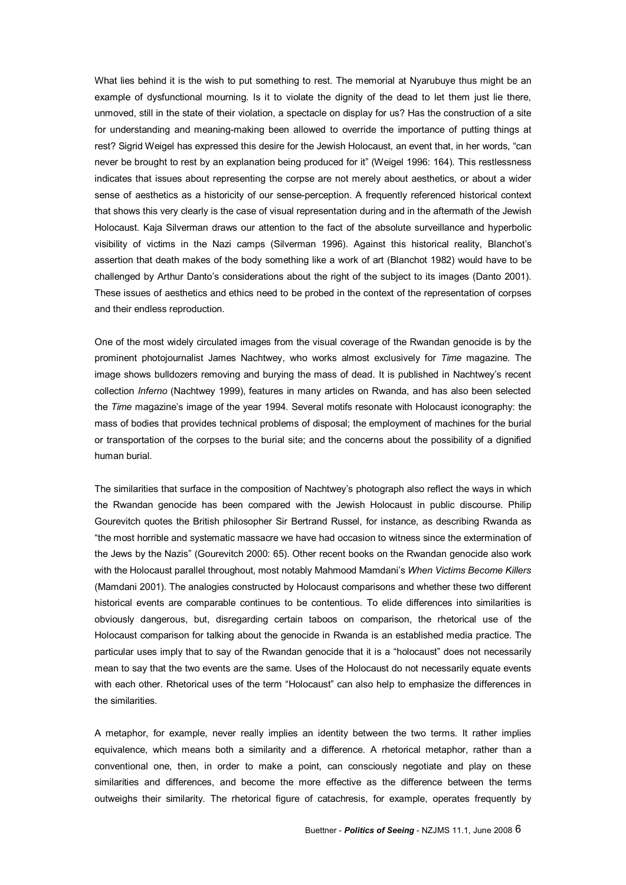What lies behind it is the wish to put something to rest. The memorial at Nyarubuye thus might be an example of dysfunctional mourning. Is it to violate the dignity of the dead to let them just lie there, unmoved, still in the state of their violation, a spectacle on display for us? Has the construction of a site for understanding and meaning-making been allowed to override the importance of putting things at rest? Sigrid Weigel has expressed this desire for the Jewish Holocaust, an event that, in her words, "can never be brought to rest by an explanation being produced for it" (Weigel 1996: 164). This restlessness indicates that issues about representing the corpse are not merely about aesthetics, or about a wider sense of aesthetics as a historicity of our sense-perception. A frequently referenced historical context that shows this very clearly is the case of visual representation during and in the aftermath of the Jewish Holocaust. Kaja Silverman draws our attention to the fact of the absolute surveillance and hyperbolic visibility of victims in the Nazi camps (Silverman 1996). Against this historical reality, Blanchot's assertion that death makes of the body something like a work of art (Blanchot 1982) would have to be challenged by Arthur Danto's considerations about the right of the subject to its images (Danto 2001). These issues of aesthetics and ethics need to be probed in the context of the representation of corpses and their endless reproduction.

One of the most widely circulated images from the visual coverage of the Rwandan genocide is by the prominent photojournalist James Nachtwey, who works almost exclusively for *Time* magazine. The image shows bulldozers removing and burying the mass of dead. It is published in Nachtwey's recent collection *Inferno* (Nachtwey 1999), features in many articles on Rwanda, and has also been selected the *Time* magazine's image of the year 1994. Several motifs resonate with Holocaust iconography: the mass of bodies that provides technical problems of disposal; the employment of machines for the burial or transportation of the corpses to the burial site; and the concerns about the possibility of a dignified human burial.

The similarities that surface in the composition of Nachtwey's photograph also reflect the ways in which the Rwandan genocide has been compared with the Jewish Holocaust in public discourse. Philip Gourevitch quotes the British philosopher Sir Bertrand Russel, for instance, as describing Rwanda as "the most horrible and systematic massacre we have had occasion to witness since the extermination of the Jews by the Nazis" (Gourevitch 2000: 65). Other recent books on the Rwandan genocide also work with the Holocaust parallel throughout, most notably Mahmood Mamdani's *When Victims Become Killers* (Mamdani 2001). The analogies constructed by Holocaust comparisons and whether these two different historical events are comparable continues to be contentious. To elide differences into similarities is obviously dangerous, but, disregarding certain taboos on comparison, the rhetorical use of the Holocaust comparison for talking about the genocide in Rwanda is an established media practice. The particular uses imply that to say of the Rwandan genocide that it is a "holocaust" does not necessarily mean to say that the two events are the same. Uses of the Holocaust do not necessarily equate events with each other. Rhetorical uses of the term "Holocaust" can also help to emphasize the differences in the similarities.

A metaphor, for example, never really implies an identity between the two terms. It rather implies equivalence, which means both a similarity and a difference. A rhetorical metaphor, rather than a conventional one, then, in order to make a point, can consciously negotiate and play on these similarities and differences, and become the more effective as the difference between the terms outweighs their similarity. The rhetorical figure of catachresis, for example, operates frequently by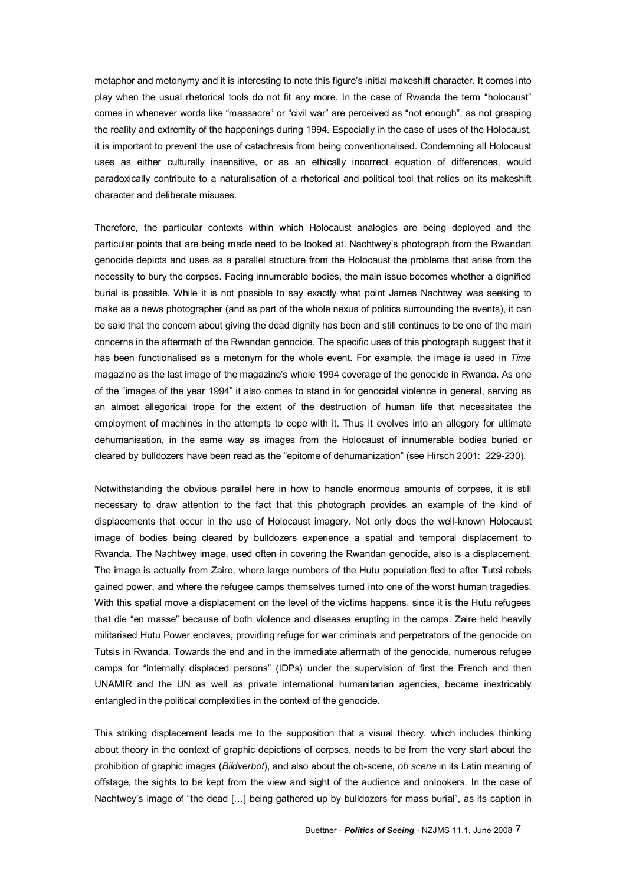metaphor and metonymy and it is interesting to note this figure's initial makeshift character. It comes into play when the usual rhetorical tools do not fit any more. In the case of Rwanda the term "holocaust" comes in whenever words like "massacre" or "civil war" are perceived as "not enough", as not grasping the reality and extremity of the happenings during 1994. Especially in the case of uses of the Holocaust, it is important to prevent the use of catachresis from being conventionalised. Condemning all Holocaust uses as either culturally insensitive, or as an ethically incorrect equation of differences, would paradoxically contribute to a naturalisation of a rhetorical and political tool that relies on its makeshift character and deliberate misuses.

Therefore, the particular contexts within which Holocaust analogies are being deployed and the particular points that are being made need to be looked at. Nachtwey's photograph from the Rwandan genocide depicts and uses as a parallel structure from the Holocaust the problems that arise from the necessity to bury the corpses. Facing innumerable bodies, the main issue becomes whether a dignified burial is possible. While it is not possible to say exactly what point James Nachtwey was seeking to make as a news photographer (and as part of the whole nexus of politics surrounding the events), it can be said that the concern about giving the dead dignity has been and still continues to be one of the main concerns in the aftermath of the Rwandan genocide. The specific uses of this photograph suggest that it has been functionalised as a metonym for the whole event. For example, the image is used in *Time* magazine as the last image of the magazine's whole 1994 coverage of the genocide in Rwanda. As one of the "images of the year 1994" it also comes to stand in for genocidal violence in general, serving as an almost allegorical trope for the extent of the destruction of human life that necessitates the employment of machines in the attempts to cope with it. Thus it evolves into an allegory for ultimate dehumanisation, in the same way as images from the Holocaust of innumerable bodies buried or cleared by bulldozers have been read as the "epitome of dehumanization" (see Hirsch 2001: 229-230).

Notwithstanding the obvious parallel here in how to handle enormous amounts of corpses, it is still necessary to draw attention to the fact that this photograph provides an example of the kind of displacements that occur in the use of Holocaust imagery. Not only does the well-known Holocaust image of bodies being cleared by bulldozers experience a spatial and temporal displacement to Rwanda. The Nachtwey image, used often in covering the Rwandan genocide, also is a displacement. The image is actually from Zaire, where large numbers of the Hutu population fled to after Tutsi rebels gained power, and where the refugee camps themselves turned into one of the worst human tragedies. With this spatial move a displacement on the level of the victims happens, since it is the Hutu refugees that die "en masse" because of both violence and diseases erupting in the camps. Zaire held heavily militarised Hutu Power enclaves, providing refuge for war criminals and perpetrators of the genocide on Tutsis in Rwanda. Towards the end and in the immediate aftermath of the genocide, numerous refugee camps for "internally displaced persons" (IDPs) under the supervision of first the French and then UNAMIR and the UN as well as private international humanitarian agencies, became inextricably entangled in the political complexities in the context of the genocide.

This striking displacement leads me to the supposition that a visual theory, which includes thinking about theory in the context of graphic depictions of corpses, needs to be from the very start about the prohibition of graphic images (*Bildverbot*), and also about the obscene, *ob scena* in its Latin meaning of offstage, the sights to be kept from the view and sight of the audience and onlookers. In the case of Nachtwey's image of "the dead […] being gathered up by bulldozers for mass burial", as its caption in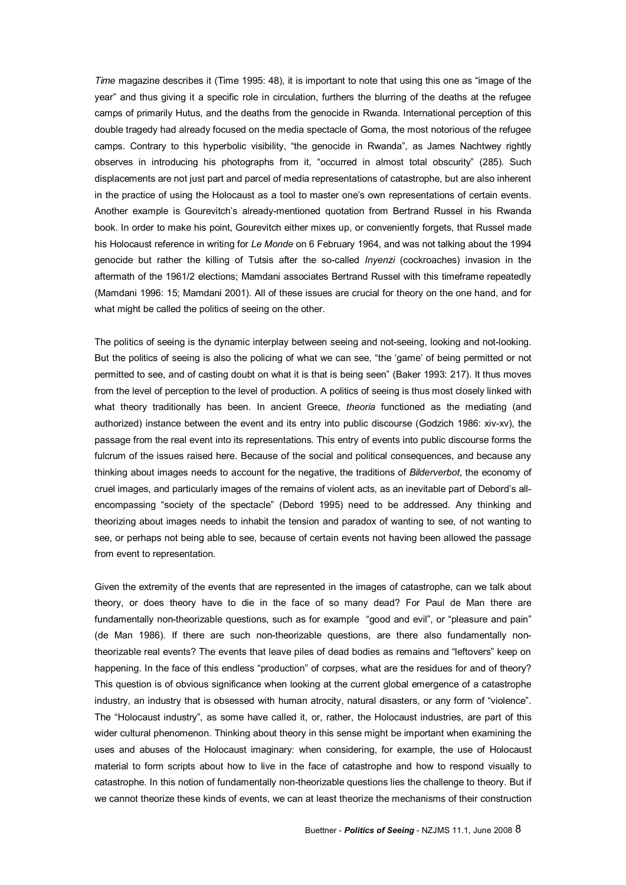*Time* magazine describes it (Time 1995: 48), it is important to note that using this one as "image of the year" and thus giving it a specific role in circulation, furthers the blurring of the deaths at the refugee camps of primarily Hutus, and the deaths from the genocide in Rwanda. International perception of this double tragedy had already focused on the media spectacle of Goma, the most notorious of the refugee camps. Contrary to this hyperbolic visibility, "the genocide in Rwanda", as James Nachtwey rightly observes in introducing his photographs from it, "occurred in almost total obscurity" (285). Such displacements are not just part and parcel of media representations of catastrophe, but are also inherent in the practice of using the Holocaust as a tool to master one's own representations of certain events. Another example is Gourevitch's already-mentioned quotation from Bertrand Russel in his Rwanda book. In order to make his point, Gourevitch either mixes up, or conveniently forgets, that Russel made his Holocaust reference in writing for *Le Monde* on 6 February 1964, and was not talking about the 1994 genocide but rather the killing of Tutsis after the socalled *Inyenzi* (cockroaches) invasion in the aftermath of the 1961/2 elections; Mamdani associates Bertrand Russel with this timeframe repeatedly (Mamdani 1996: 15; Mamdani 2001). All of these issues are crucial for theory on the one hand, and for what might be called the politics of seeing on the other.

The politics of seeing is the dynamic interplay between seeing and not-seeing, looking and not-looking. But the politics of seeing is also the policing of what we can see, "the 'game' of being permitted or not permitted to see, and of casting doubt on what it is that is being seen" (Baker 1993: 217). It thus moves from the level of perception to the level of production. A politics of seeing is thus most closely linked with what theory traditionally has been. In ancient Greece, *theoria* functioned as the mediating (and authorized) instance between the event and its entry into public discourse (Godzich 1986: xiv-xv), the passage from the real event into its representations. This entry of events into public discourse forms the fulcrum of the issues raised here. Because of the social and political consequences, and because any thinking about images needs to account for the negative, the traditions of *Bilderverbot*, the economy of cruel images, and particularly images of the remains of violent acts, as an inevitable part of Debord's all encompassing "society of the spectacle" (Debord 1995) need to be addressed. Any thinking and theorizing about images needs to inhabit the tension and paradox of wanting to see, of not wanting to see, or perhaps not being able to see, because of certain events not having been allowed the passage from event to representation.

Given the extremity of the events that are represented in the images of catastrophe, can we talk about theory, or does theory have to die in the face of so many dead? For Paul de Man there are fundamentally non-theorizable questions, such as for example "good and evil", or "pleasure and pain" (de Man 1986). If there are such non-theorizable questions, are there also fundamentally nontheorizable real events? The events that leave piles of dead bodies as remains and "leftovers" keep on happening. In the face of this endless "production" of corpses, what are the residues for and of theory? This question is of obvious significance when looking at the current global emergence of a catastrophe industry, an industry that is obsessed with human atrocity, natural disasters, or any form of "violence". The "Holocaust industry", as some have called it, or, rather, the Holocaust industries, are part of this wider cultural phenomenon. Thinking about theory in this sense might be important when examining the uses and abuses of the Holocaust imaginary: when considering, for example, the use of Holocaust material to form scripts about how to live in the face of catastrophe and how to respond visually to catastrophe. In this notion of fundamentally non-theorizable questions lies the challenge to theory. But if we cannot theorize these kinds of events, we can at least theorize the mechanisms of their construction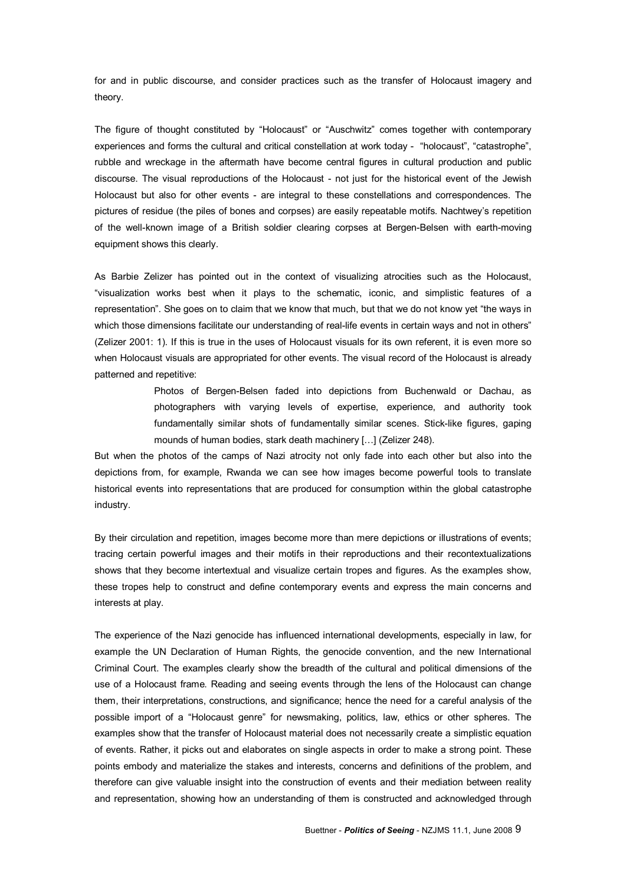for and in public discourse, and consider practices such as the transfer of Holocaust imagery and theory.

The figure of thought constituted by "Holocaust" or "Auschwitz" comes together with contemporary experiences and forms the cultural and critical constellation at work today - "holocaust", "catastrophe", rubble and wreckage in the aftermath have become central figures in cultural production and public discourse. The visual reproductions of the Holocaust - not just for the historical event of the Jewish Holocaust but also for other events - are integral to these constellations and correspondences. The pictures of residue (the piles of bones and corpses) are easily repeatable motifs. Nachtwey's repetition of the well-known image of a British soldier clearing corpses at Bergen-Belsen with earth-moving equipment shows this clearly.

As Barbie Zelizer has pointed out in the context of visualizing atrocities such as the Holocaust, "visualization works best when it plays to the schematic, iconic, and simplistic features of a representation". She goes on to claim that we know that much, but that we do not know yet "the ways in which those dimensions facilitate our understanding of real-life events in certain ways and not in others" (Zelizer 2001: 1). If this is true in the uses of Holocaust visuals for its own referent, it is even more so when Holocaust visuals are appropriated for other events. The visual record of the Holocaust is already patterned and repetitive:

> Photos of Bergen-Belsen faded into depictions from Buchenwald or Dachau, as photographers with varying levels of expertise, experience, and authority took fundamentally similar shots of fundamentally similar scenes. Stick-like figures, gaping mounds of human bodies, stark death machinery […] (Zelizer 248).

But when the photos of the camps of Nazi atrocity not only fade into each other but also into the depictions from, for example, Rwanda we can see how images become powerful tools to translate historical events into representations that are produced for consumption within the global catastrophe industry.

By their circulation and repetition, images become more than mere depictions or illustrations of events; tracing certain powerful images and their motifs in their reproductions and their recontextualizations shows that they become intertextual and visualize certain tropes and figures. As the examples show, these tropes help to construct and define contemporary events and express the main concerns and interests at play.

The experience of the Nazi genocide has influenced international developments, especially in law, for example the UN Declaration of Human Rights, the genocide convention, and the new International Criminal Court. The examples clearly show the breadth of the cultural and political dimensions of the use of a Holocaust frame. Reading and seeing events through the lens of the Holocaust can change them, their interpretations, constructions, and significance; hence the need for a careful analysis of the possible import of a "Holocaust genre" for newsmaking, politics, law, ethics or other spheres. The examples show that the transfer of Holocaust material does not necessarily create a simplistic equation of events. Rather, it picks out and elaborates on single aspects in order to make a strong point. These points embody and materialize the stakes and interests, concerns and definitions of the problem, and therefore can give valuable insight into the construction of events and their mediation between reality and representation, showing how an understanding of them is constructed and acknowledged through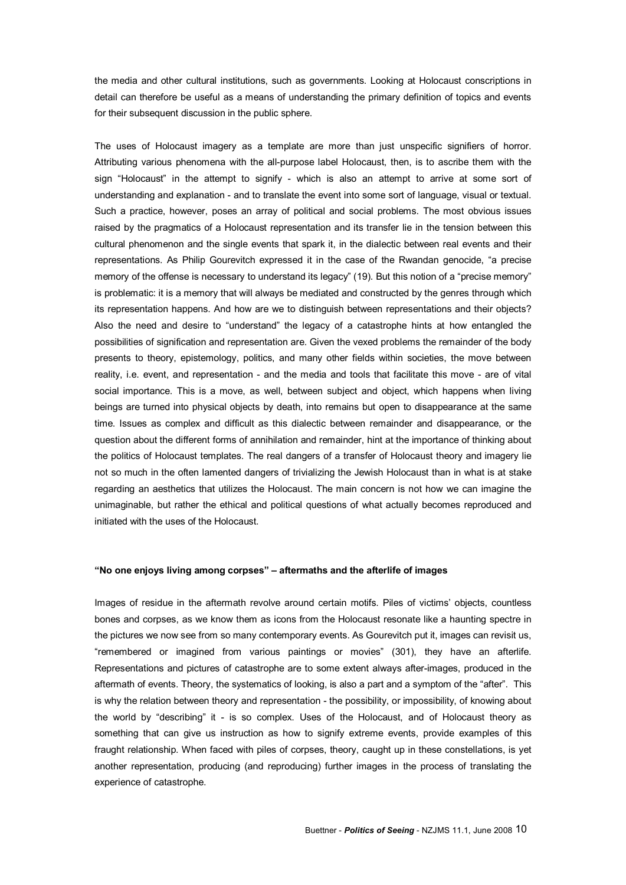the media and other cultural institutions, such as governments. Looking at Holocaust conscriptions in detail can therefore be useful as a means of understanding the primary definition of topics and events for their subsequent discussion in the public sphere.

The uses of Holocaust imagery as a template are more than just unspecific signifiers of horror. Attributing various phenomena with the all-purpose label Holocaust, then, is to ascribe them with the sign "Holocaust" in the attempt to signify - which is also an attempt to arrive at some sort of understanding and explanation - and to translate the event into some sort of language, visual or textual. Such a practice, however, poses an array of political and social problems. The most obvious issues raised by the pragmatics of a Holocaust representation and its transfer lie in the tension between this cultural phenomenon and the single events that spark it, in the dialectic between real events and their representations. As Philip Gourevitch expressed it in the case of the Rwandan genocide, "a precise memory of the offense is necessary to understand its legacy" (19). But this notion of a "precise memory" is problematic: it is a memory that will always be mediated and constructed by the genres through which its representation happens. And how are we to distinguish between representations and their objects? Also the need and desire to "understand" the legacy of a catastrophe hints at how entangled the possibilities of signification and representation are. Given the vexed problems the remainder of the body presents to theory, epistemology, politics, and many other fields within societies, the move between reality, i.e. event, and representation - and the media and tools that facilitate this move - are of vital social importance. This is a move, as well, between subject and object, which happens when living beings are turned into physical objects by death, into remains but open to disappearance at the same time. Issues as complex and difficult as this dialectic between remainder and disappearance, or the question about the different forms of annihilation and remainder, hint at the importance of thinking about the politics of Holocaust templates. The real dangers of a transfer of Holocaust theory and imagery lie not so much in the often lamented dangers of trivializing the Jewish Holocaust than in what is at stake regarding an aesthetics that utilizes the Holocaust. The main concern is not how we can imagine the unimaginable, but rather the ethical and political questions of what actually becomes reproduced and initiated with the uses of the Holocaust.

### **"No one enjoys living among corpses" – aftermaths and the afterlife of images**

Images of residue in the aftermath revolve around certain motifs. Piles of victims' objects, countless bones and corpses, as we know them as icons from the Holocaust resonate like a haunting spectre in the pictures we now see from so many contemporary events. As Gourevitch put it, images can revisit us, "remembered or imagined from various paintings or movies" (301), they have an afterlife. Representations and pictures of catastrophe are to some extent always afterimages, produced in the aftermath of events. Theory, the systematics of looking, is also a part and a symptom of the "after". This is why the relation between theory and representation - the possibility, or impossibility, of knowing about the world by "describing" it - is so complex. Uses of the Holocaust, and of Holocaust theory as something that can give us instruction as how to signify extreme events, provide examples of this fraught relationship. When faced with piles of corpses, theory, caught up in these constellations, is yet another representation, producing (and reproducing) further images in the process of translating the experience of catastrophe.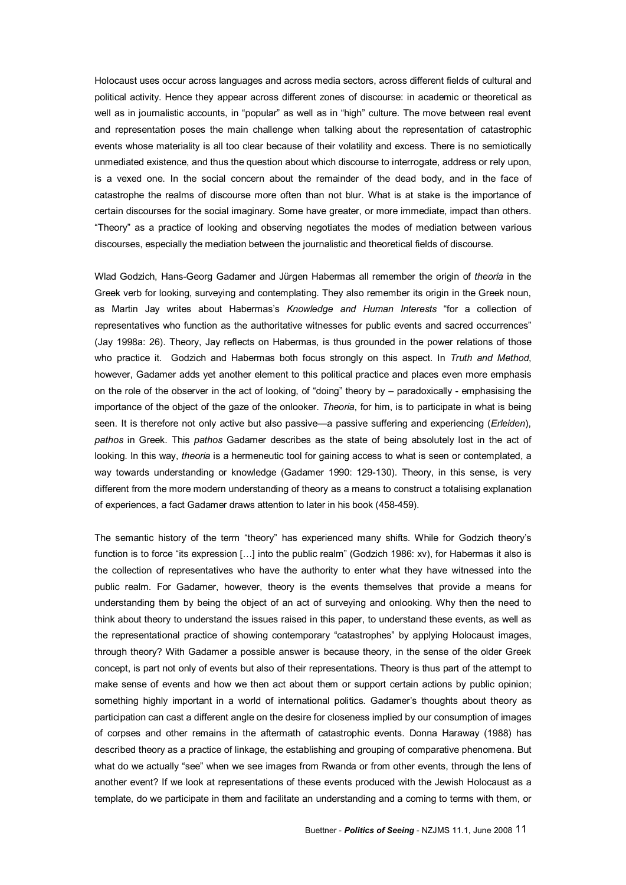Holocaust uses occur across languages and across media sectors, across different fields of cultural and political activity. Hence they appear across different zones of discourse: in academic or theoretical as well as in journalistic accounts, in "popular" as well as in "high" culture. The move between real event and representation poses the main challenge when talking about the representation of catastrophic events whose materiality is all too clear because of their volatility and excess. There is no semiotically unmediated existence, and thus the question about which discourse to interrogate, address or rely upon, is a vexed one. In the social concern about the remainder of the dead body, and in the face of catastrophe the realms of discourse more often than not blur. What is at stake is the importance of certain discourses for the social imaginary. Some have greater, or more immediate, impact than others. "Theory" as a practice of looking and observing negotiates the modes of mediation between various discourses, especially the mediation between the journalistic and theoretical fields of discourse.

Wlad Godzich, Hans-Georg Gadamer and Jürgen Habermas all remember the origin of *theoria* in the Greek verb for looking, surveying and contemplating. They also remember its origin in the Greek noun, as Martin Jay writes about Habermas's *Knowledge and Human Interests* "for a collection of representatives who function as the authoritative witnesses for public events and sacred occurrences" (Jay 1998a: 26). Theory, Jay reflects on Habermas, is thus grounded in the power relations of those who practice it. Godzich and Habermas both focus strongly on this aspect. In *Truth and Method*, however, Gadamer adds yet another element to this political practice and places even more emphasis on the role of the observer in the act of looking, of "doing" theory by – paradoxically - emphasising the importance of the object of the gaze of the onlooker. *Theoria*, for him, is to participate in what is being seen. It is therefore not only active but also passive—a passive suffering and experiencing (*Erleiden*), *pathos* in Greek. This *pathos* Gadamer describes as the state of being absolutely lost in the act of looking. In this way, *theoria* is a hermeneutic tool for gaining access to what is seen or contemplated, a way towards understanding or knowledge (Gadamer 1990: 129-130). Theory, in this sense, is very different from the more modern understanding of theory as a means to construct a totalising explanation of experiences, a fact Gadamer draws attention to later in his book (458-459).

The semantic history of the term "theory" has experienced many shifts. While for Godzich theory's function is to force "its expression […] into the public realm" (Godzich 1986: xv), for Habermas it also is the collection of representatives who have the authority to enter what they have witnessed into the public realm. For Gadamer, however, theory is the events themselves that provide a means for understanding them by being the object of an act of surveying and onlooking. Why then the need to think about theory to understand the issues raised in this paper, to understand these events, as well as the representational practice of showing contemporary "catastrophes" by applying Holocaust images, through theory? With Gadamer a possible answer is because theory, in the sense of the older Greek concept, is part not only of events but also of their representations. Theory is thus part of the attempt to make sense of events and how we then act about them or support certain actions by public opinion; something highly important in a world of international politics. Gadamer's thoughts about theory as participation can cast a different angle on the desire for closeness implied by our consumption of images of corpses and other remains in the aftermath of catastrophic events. Donna Haraway (1988) has described theory as a practice of linkage, the establishing and grouping of comparative phenomena. But what do we actually "see" when we see images from Rwanda or from other events, through the lens of another event? If we look at representations of these events produced with the Jewish Holocaust as a template, do we participate in them and facilitate an understanding and a coming to terms with them, or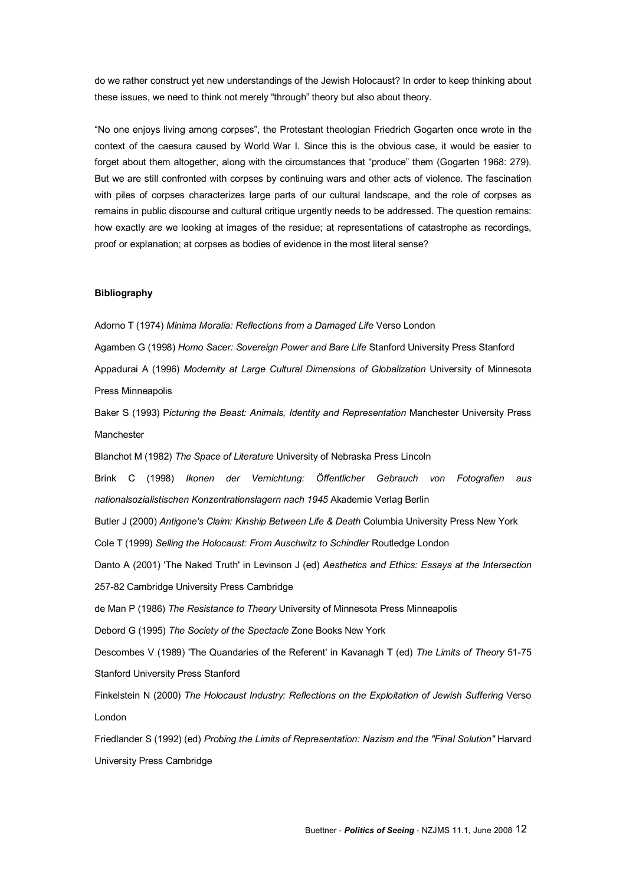do we rather construct yet new understandings of the Jewish Holocaust? In order to keep thinking about these issues, we need to think not merely "through" theory but also about theory.

"No one enjoys living among corpses", the Protestant theologian Friedrich Gogarten once wrote in the context of the caesura caused by World War I. Since this is the obvious case, it would be easier to forget about them altogether, along with the circumstances that "produce" them (Gogarten 1968: 279). But we are still confronted with corpses by continuing wars and other acts of violence. The fascination with piles of corpses characterizes large parts of our cultural landscape, and the role of corpses as remains in public discourse and cultural critique urgently needs to be addressed. The question remains: how exactly are we looking at images of the residue; at representations of catastrophe as recordings, proof or explanation; at corpses as bodies of evidence in the most literal sense?

#### **Bibliography**

Adorno T (1974) *Minima Moralia: Reflections from aDamaged Life* Verso London

Agamben G (1998) *Homo Sacer: Sovereign Power and Bare Life* Stanford University Press Stanford

Appadurai A (1996) *Modernity at Large Cultural Dimensions of Globalization* University of Minnesota Press Minneapolis

Baker S (1993) P*icturing the Beast: Animals, Identity and Representation* Manchester University Press Manchester

Blanchot M (1982) *The Space of Literature* University of Nebraska Press Lincoln

Brink C (1998) *Ikonen der Vernichtung: Öffentlicher Gebrauch von Fotografien aus nationalsozialistischen Konzentrationslagern nach 1945* Akademie Verlag Berlin

Butler J (2000) *Antigone's Claim: Kinship Between Life & Death* Columbia University Press New York

Cole T (1999) *Selling the Holocaust: From Auschwitz to Schindler* Routledge London

Danto A (2001) 'The Naked Truth' in Levinson J (ed) *Aesthetics and Ethics: Essays at the Intersection*

257-82 Cambridge University Press Cambridge

de Man P (1986) *The Resistance to Theory* University of Minnesota Press Minneapolis

Debord G (1995) *The Society of the Spectacle* Zone Books New York

Descombes V (1989) 'The Quandaries of the Referent' in Kavanagh T (ed) *The Limits of Theory* 5175 Stanford University Press Stanford

Finkelstein N (2000) *The Holocaust Industry: Reflections on the Exploitation of Jewish Suffering* Verso London

Friedlander S (1992) (ed) *Probing the Limits of Representation: Nazism and the "Final Solution"* Harvard University Press Cambridge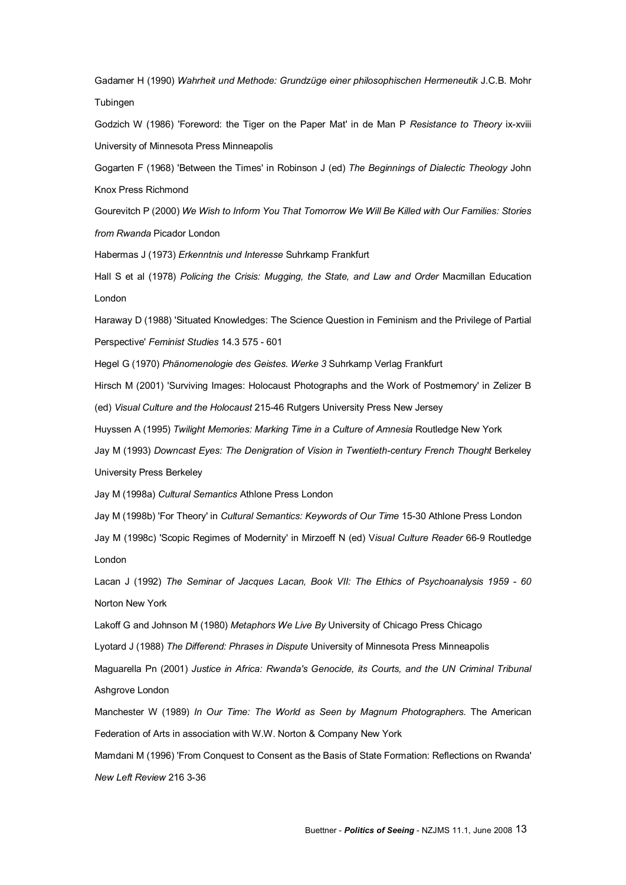Gadamer H (1990) *Wahrheit und Methode: Grundzüge einer philosophischen Hermeneutik* J.C.B. Mohr **Tubingen** 

Godzich W (1986) 'Foreword: the Tiger on the Paper Mat' in de Man P *Resistance to Theory* ixxviii University of Minnesota Press Minneapolis

Gogarten F (1968) 'Between the Times' in Robinson J (ed) *The Beginnings of Dialectic Theology* John Knox Press Richmond

Gourevitch P (2000) *We Wish to Inform You That Tomorrow We Will Be Killed with Our Families: Stories from Rwanda* Picador London

Habermas J (1973) *Erkenntnis und Interesse* Suhrkamp Frankfurt

Hall S etal (1978) *Policing the Crisis: Mugging, the State, and Law and Order* Macmillan Education London

Haraway D (1988) 'Situated Knowledges: The Science Question in Feminism and the Privilege of Partial Perspective' Feminist Studies 14.3 575 - 601

Hegel G (1970) *Phänomenologie des Geistes. Werke 3* Suhrkamp Verlag Frankfurt

Hirsch M (2001) 'Surviving Images: Holocaust Photographs and the Work of Postmemory' in Zelizer B

(ed) *Visual Culture and the Holocaust* 21546 Rutgers University Press New Jersey

Huyssen A (1995) *Twilight Memories: Marking Time in a Culture of Amnesia* Routledge New York

Jay M (1993) *Downcast Eyes: The Denigration of Vision in Twentieth-century French Thought* Berkeley University Press Berkeley

Jay M (1998a) *Cultural Semantics* Athlone Press London

Jay M (1998b) 'For Theory' in *Cultural Semantics: Keywords of Our Time* 1530 Athlone Press London

Jay M (1998c) 'Scopic Regimes of Modernity' in Mirzoeff N (ed) V*isual Culture Reader* 669 Routledge London

Lacan J (1992) *The Seminar of Jacques Lacan, Book VII: The Ethics of Psychoanalysis 1959 60* Norton New York

Lakoff G and Johnson M (1980) *Metaphors We Live By* University of Chicago Press Chicago

Lyotard J (1988) *The Differend: Phrases in Dispute* University of Minnesota Press Minneapolis

Maguarella Pn (2001) *Justice in Africa: Rwanda's Genocide, its Courts, and the UN Criminal Tribunal* Ashgrove London

Manchester W (1989) *In Our Time: The World as Seen by Magnum Photographers*. The American Federation of Arts in association with W.W. Norton & Company New York

Mamdani M (1996) 'From Conquest to Consent as the Basis of State Formation: Reflections on Rwanda' **New Left Review 216 3-36**